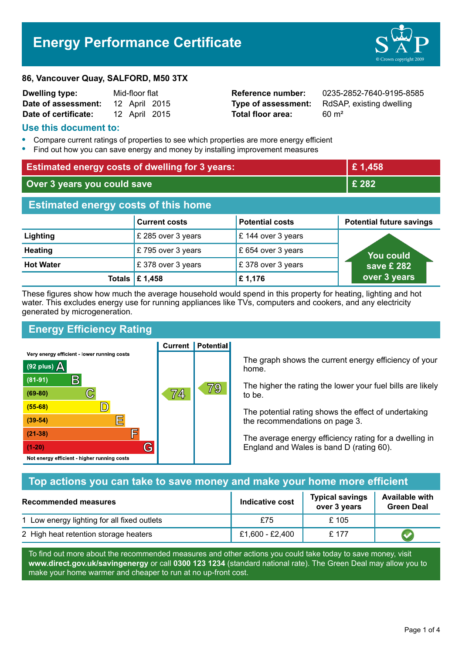# **Energy Performance Certificate**



#### **86, Vancouver Quay, SALFORD, M50 3TX**

| <b>Dwelling type:</b> | Mid-floor flat |               |  |
|-----------------------|----------------|---------------|--|
| Date of assessment:   |                | 12 April 2015 |  |
| Date of certificate:  |                | 12 April 2015 |  |

**Total floor area:** 60 m<sup>2</sup>

**Reference number:** 0235-2852-7640-9195-8585 **Type of assessment:** RdSAP, existing dwelling

## **Use this document to:**

- **•** Compare current ratings of properties to see which properties are more energy efficient
- **•** Find out how you can save energy and money by installing improvement measures

| <b>Estimated energy costs of dwelling for 3 years:</b> |                                         | £1,458                 |                                 |
|--------------------------------------------------------|-----------------------------------------|------------------------|---------------------------------|
| Over 3 years you could save                            |                                         | £ 282                  |                                 |
| <b>Estimated energy costs of this home</b>             |                                         |                        |                                 |
|                                                        | <b>Current costs</b>                    | <b>Potential costs</b> | <b>Potential future savings</b> |
| Lighting                                               | £ 285 over 3 years                      | £ 144 over 3 years     |                                 |
| <b>Heating</b>                                         | £795 over 3 years                       | £ 654 over 3 years     | You could                       |
| <b>Hot Water</b>                                       | £378 over 3 years                       | £378 over 3 years      | save £ 282                      |
|                                                        | Totals $\mathbf \mathbf \epsilon$ 1,458 | £1,176                 | over 3 years                    |

These figures show how much the average household would spend in this property for heating, lighting and hot water. This excludes energy use for running appliances like TVs, computers and cookers, and any electricity generated by microgeneration.

# **Energy Efficiency Rating**

Very energy efficient - lower running costs



**Current | Potential** 

The graph shows the current energy efficiency of your home.

The higher the rating the lower your fuel bills are likely to be.

The potential rating shows the effect of undertaking the recommendations on page 3.

The average energy efficiency rating for a dwelling in England and Wales is band D (rating 60).

## **Top actions you can take to save money and make your home more efficient**

| Recommended measures                        | Indicative cost | <b>Typical savings</b><br>over 3 years | <b>Available with</b><br><b>Green Deal</b> |
|---------------------------------------------|-----------------|----------------------------------------|--------------------------------------------|
| 1 Low energy lighting for all fixed outlets | £75             | £105                                   |                                            |
| 2 High heat retention storage heaters       | £1,600 - £2,400 | £ 177                                  |                                            |

To find out more about the recommended measures and other actions you could take today to save money, visit **www.direct.gov.uk/savingenergy** or call **0300 123 1234** (standard national rate). The Green Deal may allow you to make your home warmer and cheaper to run at no up-front cost.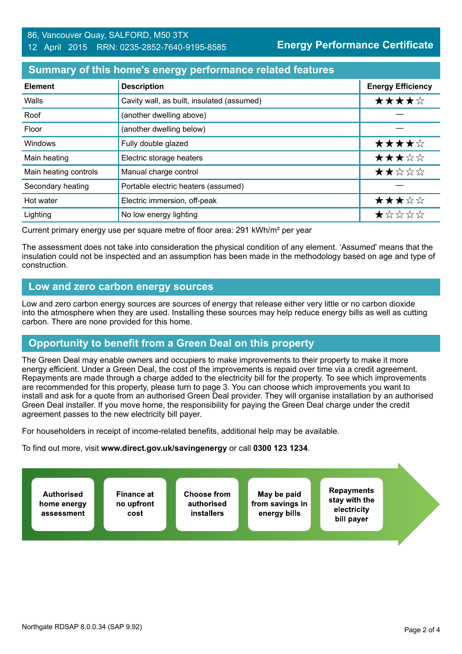## **Summary of this home's energy performance related features**

| <b>Element</b>        | <b>Description</b>                         | <b>Energy Efficiency</b> |
|-----------------------|--------------------------------------------|--------------------------|
| Walls                 | Cavity wall, as built, insulated (assumed) | ★★★★☆                    |
| Roof                  | (another dwelling above)                   |                          |
| Floor                 | (another dwelling below)                   |                          |
| Windows               | Fully double glazed                        | ★★★★☆                    |
| Main heating          | Electric storage heaters                   | ★★★☆☆                    |
| Main heating controls | Manual charge control                      | ★★☆☆☆                    |
| Secondary heating     | Portable electric heaters (assumed)        |                          |
| Hot water             | Electric immersion, off-peak               | ★★★☆☆                    |
| Lighting              | No low energy lighting                     | *****                    |

Current primary energy use per square metre of floor area: 291 kWh/m² per year

The assessment does not take into consideration the physical condition of any element. 'Assumed' means that the insulation could not be inspected and an assumption has been made in the methodology based on age and type of construction.

## **Low and zero carbon energy sources**

Low and zero carbon energy sources are sources of energy that release either very little or no carbon dioxide into the atmosphere when they are used. Installing these sources may help reduce energy bills as well as cutting carbon. There are none provided for this home.

## **Opportunity to benefit from a Green Deal on this property**

The Green Deal may enable owners and occupiers to make improvements to their property to make it more energy efficient. Under a Green Deal, the cost of the improvements is repaid over time via a credit agreement. Repayments are made through a charge added to the electricity bill for the property. To see which improvements are recommended for this property, please turn to page 3. You can choose which improvements you want to install and ask for a quote from an authorised Green Deal provider. They will organise installation by an authorised Green Deal installer. If you move home, the responsibility for paying the Green Deal charge under the credit agreement passes to the new electricity bill payer.

For householders in receipt of income-related benefits, additional help may be available.

To find out more, visit **www.direct.gov.uk/savingenergy** or call **0300 123 1234**.

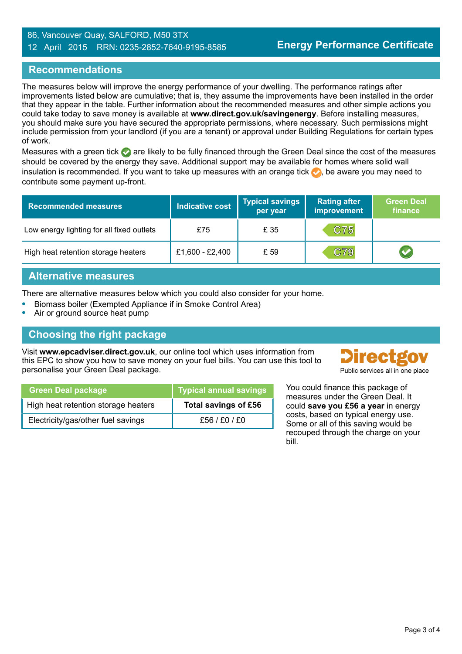#### 86, Vancouver Quay, SALFORD, M50 3TX 12 April 2015 RRN: 0235-2852-7640-9195-8585

## **Recommendations**

The measures below will improve the energy performance of your dwelling. The performance ratings after improvements listed below are cumulative; that is, they assume the improvements have been installed in the order that they appear in the table. Further information about the recommended measures and other simple actions you could take today to save money is available at **www.direct.gov.uk/savingenergy**. Before installing measures, you should make sure you have secured the appropriate permissions, where necessary. Such permissions might include permission from your landlord (if you are a tenant) or approval under Building Regulations for certain types of work.

Measures with a green tick  $\bullet$  are likely to be fully financed through the Green Deal since the cost of the measures should be covered by the energy they save. Additional support may be available for homes where solid wall insulation is recommended. If you want to take up measures with an orange tick  $\bullet$ , be aware you may need to contribute some payment up-front.

| <b>Recommended measures</b>               | <b>Indicative cost</b> | <b>Typical savings</b><br>per year | <b>Rating after</b><br>improvement | <b>Green Deal</b><br>finance |
|-------------------------------------------|------------------------|------------------------------------|------------------------------------|------------------------------|
| Low energy lighting for all fixed outlets | £75                    | £ 35                               | C75                                |                              |
| High heat retention storage heaters       | £1,600 - £2,400        | £ 59                               | C79                                |                              |

## **Alternative measures**

There are alternative measures below which you could also consider for your home.

- **•** Biomass boiler (Exempted Appliance if in Smoke Control Area)
- **•** Air or ground source heat pump

## **Choosing the right package**

Visit **www.epcadviser.direct.gov.uk**, our online tool which uses information from this EPC to show you how to save money on your fuel bills. You can use this tool to personalise your Green Deal package.



| <b>Green Deal package</b>           | <b>Typical annual savings</b> |
|-------------------------------------|-------------------------------|
| High heat retention storage heaters | Total savings of £56          |
| Electricity/gas/other fuel savings  | £56/£0/£0                     |

You could finance this package of measures under the Green Deal. It could **save you £56 a year** in energy costs, based on typical energy use. Some or all of this saving would be recouped through the charge on your bill.